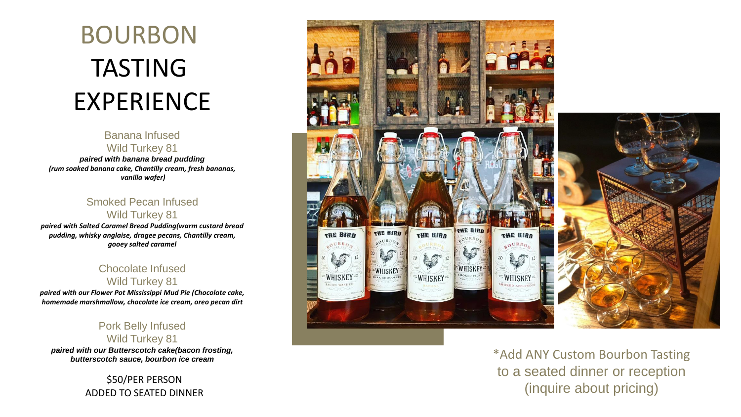# BOURBON TASTING EXPERIENCE

#### Banana Infused Wild Turkey 81

*paired with banana bread pudding (rum soaked banana cake, Chantilly cream, fresh bananas, vanilla wafer)*

#### Smoked Pecan Infused Wild Turkey 81

*paired with Salted Caramel Bread Pudding(warm custard bread pudding, whisky anglaise, dragee pecans, Chantilly cream, gooey salted caramel*

#### Chocolate Infused Wild Turkey 81

*paired with our Flower Pot Mississippi Mud Pie (Chocolate cake, homemade marshmallow, chocolate ice cream, oreo pecan dirt*

#### Pork Belly Infused Wild Turkey 81

*paired with our Butterscotch cake(bacon frosting,* 

\$50/PER PERSON ADDED TO SEATED DINNER



*butterscotch sauce, bourbon ice cream* \*Add ANY Custom Bourbon Tasting to a seated dinner or reception (inquire about pricing)